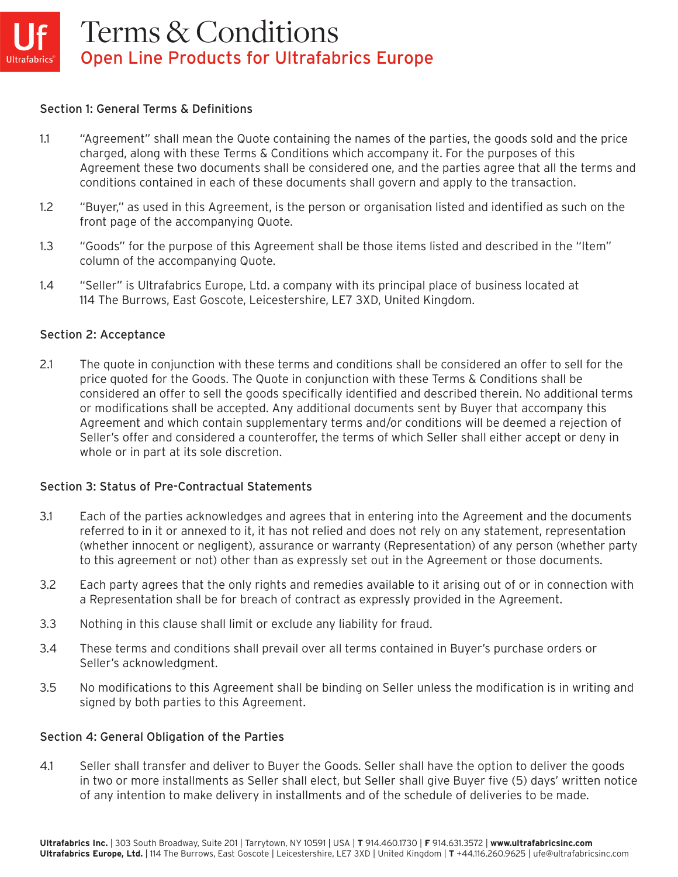### Section 1: General Terms & Definitions

- 1.1 "Agreement" shall mean the Quote containing the names of the parties, the goods sold and the price charged, along with these Terms & Conditions which accompany it. For the purposes of this Agreement these two documents shall be considered one, and the parties agree that all the terms and conditions contained in each of these documents shall govern and apply to the transaction.
- 1.2 "Buyer," as used in this Agreement, is the person or organisation listed and identified as such on the front page of the accompanying Quote.
- 1.3 "Goods" for the purpose of this Agreement shall be those items listed and described in the "Item" column of the accompanying Quote.
- 1.4 "Seller" is Ultrafabrics Europe, Ltd. a company with its principal place of business located at 114 The Burrows, East Goscote, Leicestershire, LE7 3XD, United Kingdom.

## Section 2: Acceptance

2.1 The quote in conjunction with these terms and conditions shall be considered an offer to sell for the price quoted for the Goods. The Quote in conjunction with these Terms & Conditions shall be considered an offer to sell the goods specifically identified and described therein. No additional terms or modifications shall be accepted. Any additional documents sent by Buyer that accompany this Agreement and which contain supplementary terms and/or conditions will be deemed a rejection of Seller's offer and considered a counteroffer, the terms of which Seller shall either accept or deny in whole or in part at its sole discretion.

# Section 3: Status of Pre-Contractual Statements

- 3.1 Each of the parties acknowledges and agrees that in entering into the Agreement and the documents referred to in it or annexed to it, it has not relied and does not rely on any statement, representation (whether innocent or negligent), assurance or warranty (Representation) of any person (whether party to this agreement or not) other than as expressly set out in the Agreement or those documents.
- 3.2 Each party agrees that the only rights and remedies available to it arising out of or in connection with a Representation shall be for breach of contract as expressly provided in the Agreement.
- 3.3 Nothing in this clause shall limit or exclude any liability for fraud.
- 3.4 These terms and conditions shall prevail over all terms contained in Buyer's purchase orders or Seller's acknowledgment.
- 3.5 No modifications to this Agreement shall be binding on Seller unless the modification is in writing and signed by both parties to this Agreement.

### Section 4: General Obligation of the Parties

4.1 Seller shall transfer and deliver to Buyer the Goods. Seller shall have the option to deliver the goods in two or more installments as Seller shall elect, but Seller shall give Buyer five (5) days' written notice of any intention to make delivery in installments and of the schedule of deliveries to be made.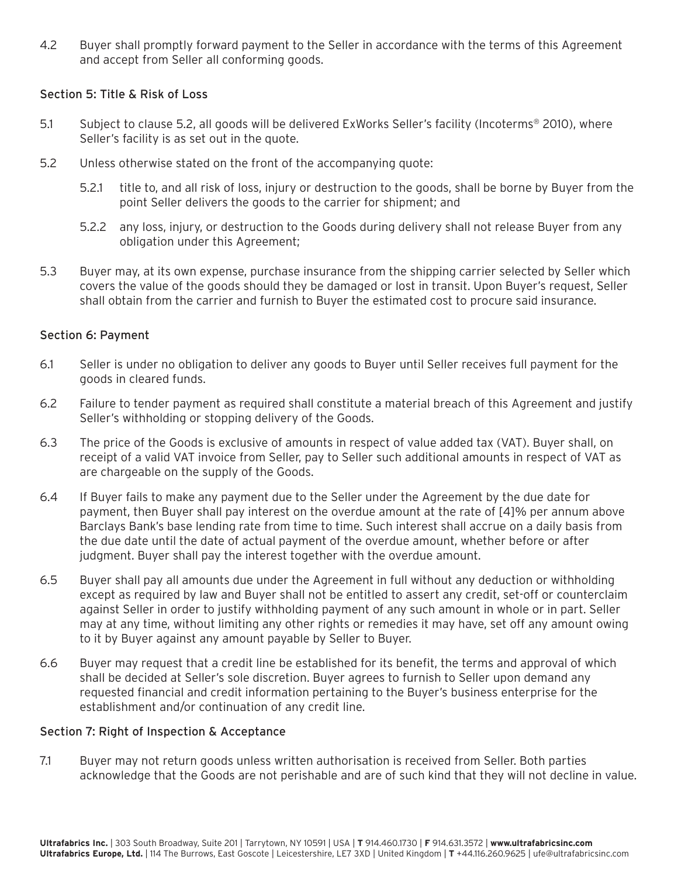4.2 Buyer shall promptly forward payment to the Seller in accordance with the terms of this Agreement and accept from Seller all conforming goods.

## Section 5: Title & Risk of Loss

- 5.1 Subject to clause 5.2, all goods will be delivered ExWorks Seller's facility (Incoterms® 2010), where Seller's facility is as set out in the quote.
- 5.2 Unless otherwise stated on the front of the accompanying quote:
	- 5.2.1 title to, and all risk of loss, injury or destruction to the goods, shall be borne by Buyer from the point Seller delivers the goods to the carrier for shipment; and
	- 5.2.2 any loss, injury, or destruction to the Goods during delivery shall not release Buyer from any obligation under this Agreement;
- 5.3 Buyer may, at its own expense, purchase insurance from the shipping carrier selected by Seller which covers the value of the goods should they be damaged or lost in transit. Upon Buyer's request, Seller shall obtain from the carrier and furnish to Buyer the estimated cost to procure said insurance.

### Section 6: Payment

- 6.1 Seller is under no obligation to deliver any goods to Buyer until Seller receives full payment for the goods in cleared funds.
- 6.2 Failure to tender payment as required shall constitute a material breach of this Agreement and justify Seller's withholding or stopping delivery of the Goods.
- 6.3 The price of the Goods is exclusive of amounts in respect of value added tax (VAT). Buyer shall, on receipt of a valid VAT invoice from Seller, pay to Seller such additional amounts in respect of VAT as are chargeable on the supply of the Goods.
- 6.4 If Buyer fails to make any payment due to the Seller under the Agreement by the due date for payment, then Buyer shall pay interest on the overdue amount at the rate of [4]% per annum above Barclays Bank's base lending rate from time to time. Such interest shall accrue on a daily basis from the due date until the date of actual payment of the overdue amount, whether before or after judgment. Buyer shall pay the interest together with the overdue amount.
- 6.5 Buyer shall pay all amounts due under the Agreement in full without any deduction or withholding except as required by law and Buyer shall not be entitled to assert any credit, set-off or counterclaim against Seller in order to justify withholding payment of any such amount in whole or in part. Seller may at any time, without limiting any other rights or remedies it may have, set off any amount owing to it by Buyer against any amount payable by Seller to Buyer.
- 6.6 Buyer may request that a credit line be established for its benefit, the terms and approval of which shall be decided at Seller's sole discretion. Buyer agrees to furnish to Seller upon demand any requested financial and credit information pertaining to the Buyer's business enterprise for the establishment and/or continuation of any credit line.

### Section 7: Right of Inspection & Acceptance

7.1 Buyer may not return goods unless written authorisation is received from Seller. Both parties acknowledge that the Goods are not perishable and are of such kind that they will not decline in value.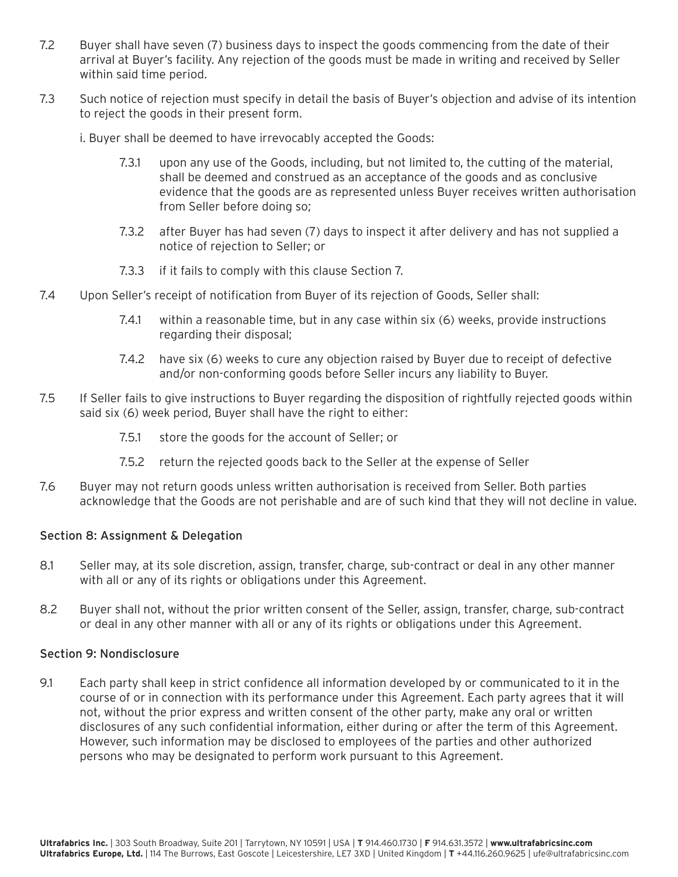- 7.2 Buyer shall have seven (7) business days to inspect the goods commencing from the date of their arrival at Buyer's facility. Any rejection of the goods must be made in writing and received by Seller within said time period.
- 7.3 Such notice of rejection must specify in detail the basis of Buyer's objection and advise of its intention to reject the goods in their present form.

i. Buyer shall be deemed to have irrevocably accepted the Goods:

- 7.3.1 upon any use of the Goods, including, but not limited to, the cutting of the material, shall be deemed and construed as an acceptance of the goods and as conclusive evidence that the goods are as represented unless Buyer receives written authorisation from Seller before doing so;
- 7.3.2 after Buyer has had seven (7) days to inspect it after delivery and has not supplied a notice of rejection to Seller; or
- 7.3.3 if it fails to comply with this clause Section 7.
- 7.4 Upon Seller's receipt of notification from Buyer of its rejection of Goods, Seller shall:
	- 7.4.1 within a reasonable time, but in any case within six (6) weeks, provide instructions regarding their disposal;
	- 7.4.2 have six (6) weeks to cure any objection raised by Buyer due to receipt of defective and/or non-conforming goods before Seller incurs any liability to Buyer.
- 7.5 If Seller fails to give instructions to Buyer regarding the disposition of rightfully rejected goods within said six (6) week period, Buyer shall have the right to either:
	- 7.5.1 store the goods for the account of Seller; or
	- 7.5.2 return the rejected goods back to the Seller at the expense of Seller
- 7.6 Buyer may not return goods unless written authorisation is received from Seller. Both parties acknowledge that the Goods are not perishable and are of such kind that they will not decline in value.

### Section 8: Assignment & Delegation

- 8.1 Seller may, at its sole discretion, assign, transfer, charge, sub-contract or deal in any other manner with all or any of its rights or obligations under this Agreement.
- 8.2 Buyer shall not, without the prior written consent of the Seller, assign, transfer, charge, sub-contract or deal in any other manner with all or any of its rights or obligations under this Agreement.

### Section 9: Nondisclosure

9.1 Each party shall keep in strict confidence all information developed by or communicated to it in the course of or in connection with its performance under this Agreement. Each party agrees that it will not, without the prior express and written consent of the other party, make any oral or written disclosures of any such confidential information, either during or after the term of this Agreement. However, such information may be disclosed to employees of the parties and other authorized persons who may be designated to perform work pursuant to this Agreement.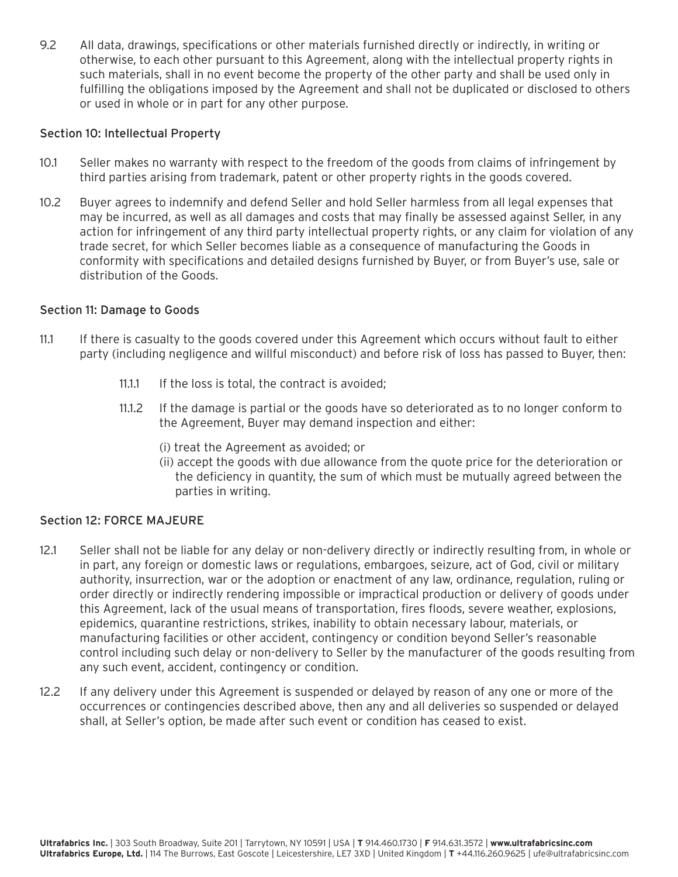9.2 All data, drawings, specifications or other materials furnished directly or indirectly, in writing or otherwise, to each other pursuant to this Agreement, along with the intellectual property rights in such materials, shall in no event become the property of the other party and shall be used only in fulfilling the obligations imposed by the Agreement and shall not be duplicated or disclosed to others or used in whole or in part for any other purpose.

#### Section 10: Intellectual Property

- 10.1 Seller makes no warranty with respect to the freedom of the goods from claims of infringement by third parties arising from trademark, patent or other property rights in the goods covered.
- 10.2 Buyer agrees to indemnify and defend Seller and hold Seller harmless from all legal expenses that may be incurred, as well as all damages and costs that may finally be assessed against Seller, in any action for infringement of any third party intellectual property rights, or any claim for violation of any trade secret, for which Seller becomes liable as a consequence of manufacturing the Goods in conformity with specifications and detailed designs furnished by Buyer, or from Buyer's use, sale or distribution of the Goods.

#### Section 11: Damage to Goods

- 11.1 If there is casualty to the goods covered under this Agreement which occurs without fault to either party (including negligence and willful misconduct) and before risk of loss has passed to Buyer, then:
	- 11.1.1 If the loss is total, the contract is avoided;
	- 11.1.2 If the damage is partial or the goods have so deteriorated as to no longer conform to the Agreement, Buyer may demand inspection and either:
		- (i) treat the Agreement as avoided; or
		- (ii) accept the goods with due allowance from the quote price for the deterioration or the deficiency in quantity, the sum of which must be mutually agreed between the parties in writing.

### Section 12: FORCE MAJEURE

- 12.1 Seller shall not be liable for any delay or non-delivery directly or indirectly resulting from, in whole or in part, any foreign or domestic laws or regulations, embargoes, seizure, act of God, civil or military authority, insurrection, war or the adoption or enactment of any law, ordinance, regulation, ruling or order directly or indirectly rendering impossible or impractical production or delivery of goods under this Agreement, lack of the usual means of transportation, fires floods, severe weather, explosions, epidemics, quarantine restrictions, strikes, inability to obtain necessary labour, materials, or manufacturing facilities or other accident, contingency or condition beyond Seller's reasonable control including such delay or non-delivery to Seller by the manufacturer of the goods resulting from any such event, accident, contingency or condition.
- 12.2 If any delivery under this Agreement is suspended or delayed by reason of any one or more of the occurrences or contingencies described above, then any and all deliveries so suspended or delayed shall, at Seller's option, be made after such event or condition has ceased to exist.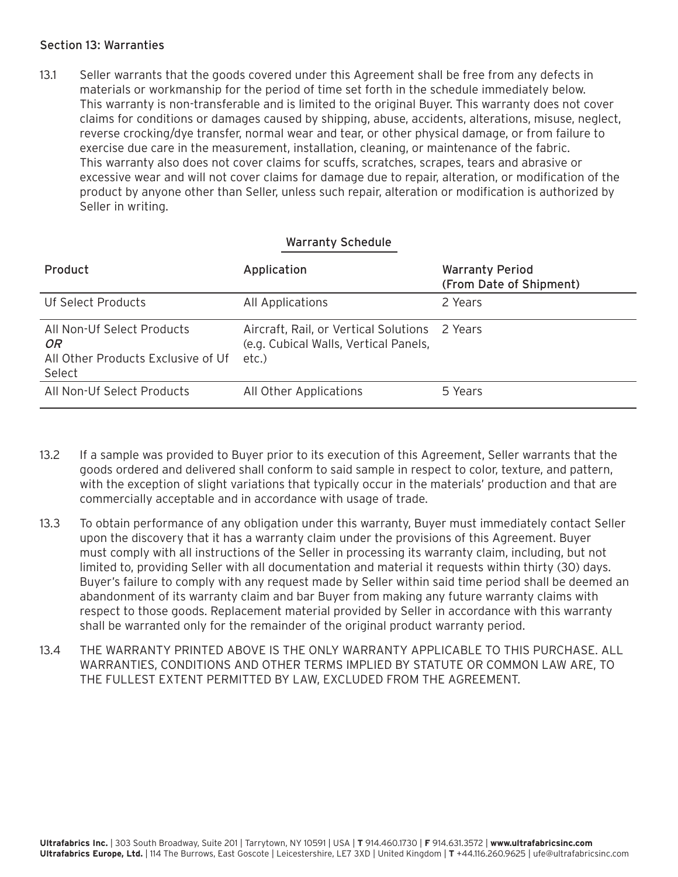### Section 13: Warranties

13.1 Seller warrants that the goods covered under this Agreement shall be free from any defects in materials or workmanship for the period of time set forth in the schedule immediately below. This warranty is non-transferable and is limited to the original Buyer. This warranty does not cover claims for conditions or damages caused by shipping, abuse, accidents, alterations, misuse, neglect, reverse crocking/dye transfer, normal wear and tear, or other physical damage, or from failure to exercise due care in the measurement, installation, cleaning, or maintenance of the fabric. This warranty also does not cover claims for scuffs, scratches, scrapes, tears and abrasive or excessive wear and will not cover claims for damage due to repair, alteration, or modification of the product by anyone other than Seller, unless such repair, alteration or modification is authorized by Seller in writing.

### Warranty Schedule

| Product                                                                           | Application                                                                                     | <b>Warranty Period</b><br>(From Date of Shipment) |
|-----------------------------------------------------------------------------------|-------------------------------------------------------------------------------------------------|---------------------------------------------------|
| Uf Select Products                                                                | All Applications                                                                                | 2 Years                                           |
| All Non-Uf Select Products<br>OR.<br>All Other Products Exclusive of Uf<br>Select | Aircraft, Rail, or Vertical Solutions 2 Years<br>(e.g. Cubical Walls, Vertical Panels,<br>etc.) |                                                   |
| All Non-Uf Select Products                                                        | All Other Applications                                                                          | 5 Years                                           |

- 13.2 If a sample was provided to Buyer prior to its execution of this Agreement, Seller warrants that the goods ordered and delivered shall conform to said sample in respect to color, texture, and pattern, with the exception of slight variations that typically occur in the materials' production and that are commercially acceptable and in accordance with usage of trade.
- 13.3 To obtain performance of any obligation under this warranty, Buyer must immediately contact Seller upon the discovery that it has a warranty claim under the provisions of this Agreement. Buyer must comply with all instructions of the Seller in processing its warranty claim, including, but not limited to, providing Seller with all documentation and material it requests within thirty (30) days. Buyer's failure to comply with any request made by Seller within said time period shall be deemed an abandonment of its warranty claim and bar Buyer from making any future warranty claims with respect to those goods. Replacement material provided by Seller in accordance with this warranty shall be warranted only for the remainder of the original product warranty period.
- 13.4 THE WARRANTY PRINTED ABOVE IS THE ONLY WARRANTY APPLICABLE TO THIS PURCHASE. ALL WARRANTIES, CONDITIONS AND OTHER TERMS IMPLIED BY STATUTE OR COMMON LAW ARE, TO THE FULLEST EXTENT PERMITTED BY LAW, EXCLUDED FROM THE AGREEMENT.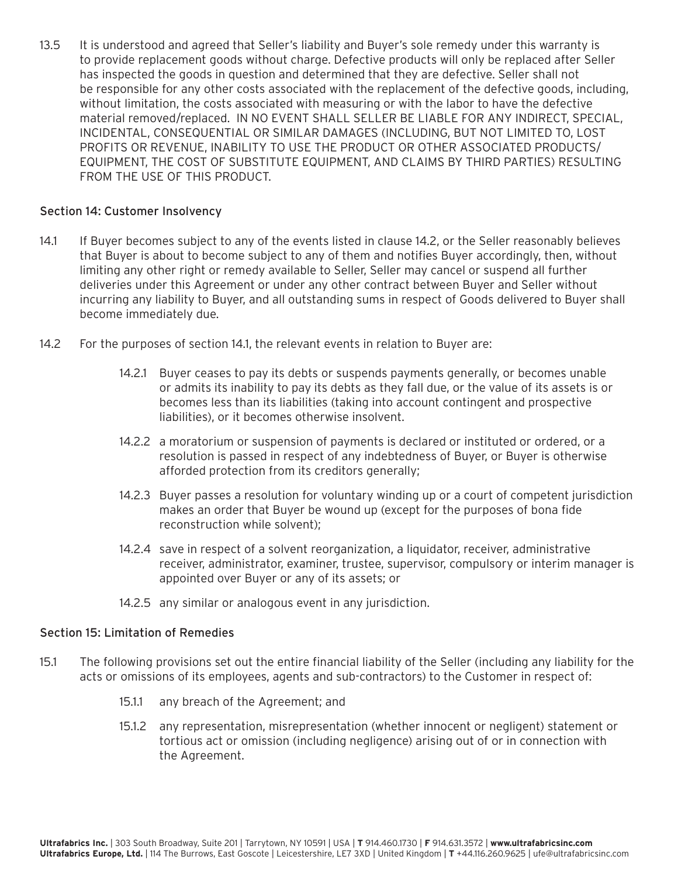13.5 It is understood and agreed that Seller's liability and Buyer's sole remedy under this warranty is to provide replacement goods without charge. Defective products will only be replaced after Seller has inspected the goods in question and determined that they are defective. Seller shall not be responsible for any other costs associated with the replacement of the defective goods, including, without limitation, the costs associated with measuring or with the labor to have the defective material removed/replaced. IN NO EVENT SHALL SELLER BE LIABLE FOR ANY INDIRECT, SPECIAL, INCIDENTAL, CONSEQUENTIAL OR SIMILAR DAMAGES (INCLUDING, BUT NOT LIMITED TO, LOST PROFITS OR REVENUE, INABILITY TO USE THE PRODUCT OR OTHER ASSOCIATED PRODUCTS/ EQUIPMENT, THE COST OF SUBSTITUTE EQUIPMENT, AND CLAIMS BY THIRD PARTIES) RESULTING FROM THE USE OF THIS PRODUCT.

### Section 14: Customer Insolvency

- 14.1 If Buyer becomes subject to any of the events listed in clause 14.2, or the Seller reasonably believes that Buyer is about to become subject to any of them and notifies Buyer accordingly, then, without limiting any other right or remedy available to Seller, Seller may cancel or suspend all further deliveries under this Agreement or under any other contract between Buyer and Seller without incurring any liability to Buyer, and all outstanding sums in respect of Goods delivered to Buyer shall become immediately due.
- 14.2 For the purposes of section 14.1, the relevant events in relation to Buyer are:
	- 14.2.1 Buyer ceases to pay its debts or suspends payments generally, or becomes unable or admits its inability to pay its debts as they fall due, or the value of its assets is or becomes less than its liabilities (taking into account contingent and prospective liabilities), or it becomes otherwise insolvent.
	- 14.2.2 a moratorium or suspension of payments is declared or instituted or ordered, or a resolution is passed in respect of any indebtedness of Buyer, or Buyer is otherwise afforded protection from its creditors generally;
	- 14.2.3 Buyer passes a resolution for voluntary winding up or a court of competent jurisdiction makes an order that Buyer be wound up (except for the purposes of bona fide reconstruction while solvent);
	- 14.2.4 save in respect of a solvent reorganization, a liquidator, receiver, administrative receiver, administrator, examiner, trustee, supervisor, compulsory or interim manager is appointed over Buyer or any of its assets; or
	- 14.2.5 any similar or analogous event in any jurisdiction.

### Section 15: Limitation of Remedies

- 15.1 The following provisions set out the entire financial liability of the Seller (including any liability for the acts or omissions of its employees, agents and sub-contractors) to the Customer in respect of:
	- 15.1.1 any breach of the Agreement; and
	- 15.1.2 any representation, misrepresentation (whether innocent or negligent) statement or tortious act or omission (including negligence) arising out of or in connection with the Agreement.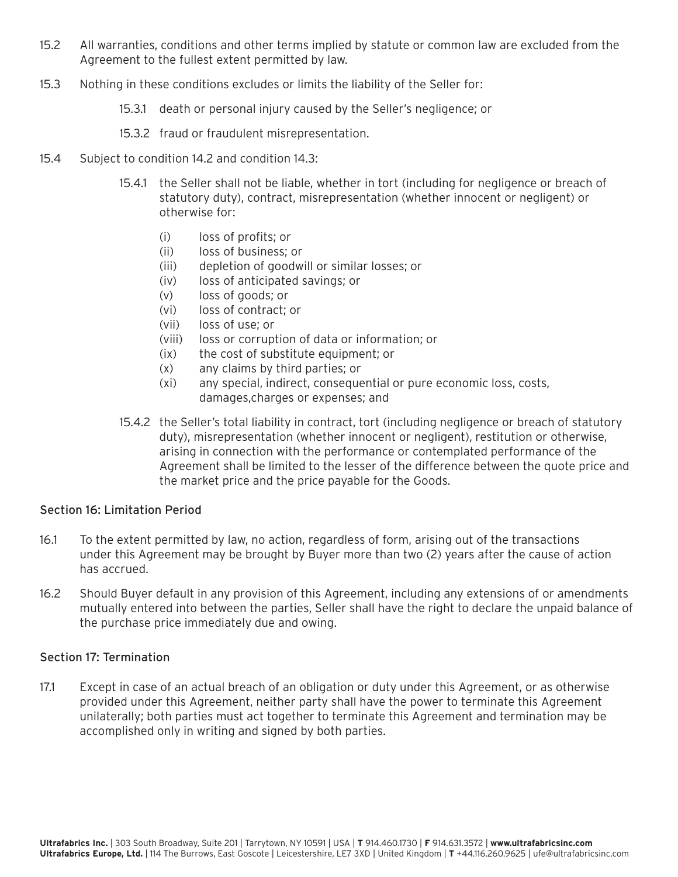- 15.2 All warranties, conditions and other terms implied by statute or common law are excluded from the Agreement to the fullest extent permitted by law.
- 15.3 Nothing in these conditions excludes or limits the liability of the Seller for:
	- 15.3.1 death or personal injury caused by the Seller's negligence; or
	- 15.3.2 fraud or fraudulent misrepresentation.
- 15.4 Subject to condition 14.2 and condition 14.3:
	- 15.4.1 the Seller shall not be liable, whether in tort (including for negligence or breach of statutory duty), contract, misrepresentation (whether innocent or negligent) or otherwise for:
		- (i) loss of profits; or
		- (ii) loss of business; or
		- (iii) depletion of goodwill or similar losses; or
		- (iv) loss of anticipated savings; or
		- (v) loss of goods; or
		- (vi) loss of contract; or
		- (vii) loss of use; or
		- (viii) loss or corruption of data or information; or
		- (ix) the cost of substitute equipment; or
		- (x) any claims by third parties; or
		- (xi) any special, indirect, consequential or pure economic loss, costs, damages,charges or expenses; and
	- 15.4.2 the Seller's total liability in contract, tort (including negligence or breach of statutory duty), misrepresentation (whether innocent or negligent), restitution or otherwise, arising in connection with the performance or contemplated performance of the Agreement shall be limited to the lesser of the difference between the quote price and the market price and the price payable for the Goods.

### Section 16: Limitation Period

- 16.1 To the extent permitted by law, no action, regardless of form, arising out of the transactions under this Agreement may be brought by Buyer more than two (2) years after the cause of action has accrued.
- 16.2 Should Buyer default in any provision of this Agreement, including any extensions of or amendments mutually entered into between the parties, Seller shall have the right to declare the unpaid balance of the purchase price immediately due and owing.

# Section 17: Termination

17.1 Except in case of an actual breach of an obligation or duty under this Agreement, or as otherwise provided under this Agreement, neither party shall have the power to terminate this Agreement unilaterally; both parties must act together to terminate this Agreement and termination may be accomplished only in writing and signed by both parties.